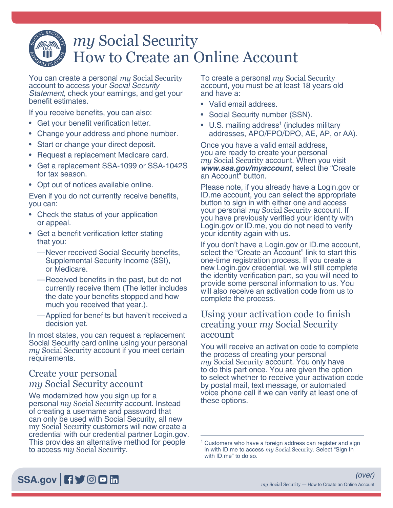# *my* Social Security How to Create an Online Account

You can create a personal *my* Social Security account to access your *Social Security Statement*, check your earnings, and get your benefit estimates.

If you receive benefits, you can also:

- Get your benefit verification letter.
- Change your address and phone number.
- Start or change your direct deposit.
- Request a replacement Medicare card.
- Get a replacement SSA-1099 or SSA-1042S for tax season.
- Opt out of notices available online.

Even if you do not currently receive benefits, you can:

- Check the status of your application or appeal.
- Get a benefit verification letter stating that you:
	- —Never received Social Security benefits, Supplemental Security Income (SSI), or Medicare.
	- —Received benefits in the past, but do not currently receive them (The letter includes the date your benefits stopped and how much you received that year.).
	- —Applied for benefits but haven't received a decision yet.

In most states, you can request a replacement Social Security card online using your personal *my* Social Security account if you meet certain requirements.

## Create your personal *my* Social Security account

We modernized how you sign up for a personal *my* Social Security account. Instead of creating a username and password that can only be used with Social Security, all new my Social Security customers will now create a credential with our credential partner Login.gov. This provides an alternative method for people to access *my* Social Security.

To create a personal *my* Social Security account, you must be at least 18 years old and have a:

- Valid email address.
- Social Security number (SSN).
- U.S. mailing address<sup>1</sup> (includes military addresses, APO/FPO/DPO, AE, AP, or AA).

Once you have a valid email address, you are ready to create your personal *my* Social Security account. When you visit *[www.ssa.gov/myaccount](https://www.ssa.gov/myaccount)*, select the "Create an Account" button.

Please note, if you already have a Login.gov or ID.me account, you can select the appropriate button to sign in with either one and access your personal *my* Social Security account. If you have previously verified your identity with Login.gov or ID.me, you do not need to verify your identity again with us.

If you don't have a Login.gov or ID.me account, select the "Create an Account" link to start this one-time registration process. If you create a new Login.gov credential, we will still complete the identity verification part, so you will need to provide some personal information to us. You will also receive an activation code from us to complete the process.

### Using your activation code to finish creating your *my* Social Security account

You will receive an activation code to complete the process of creating your personal<br>my Social Security account. You only have to do this part once. You are given the option to select whether to receive your activation code by postal mail, text message, or automated voice phone call if we can verify at least one of these options.

<sup>1</sup> Customers who have a foreign address can register and sign in with ID.me to access *my* Social Security. Select "Sign In with ID.me" to do so.